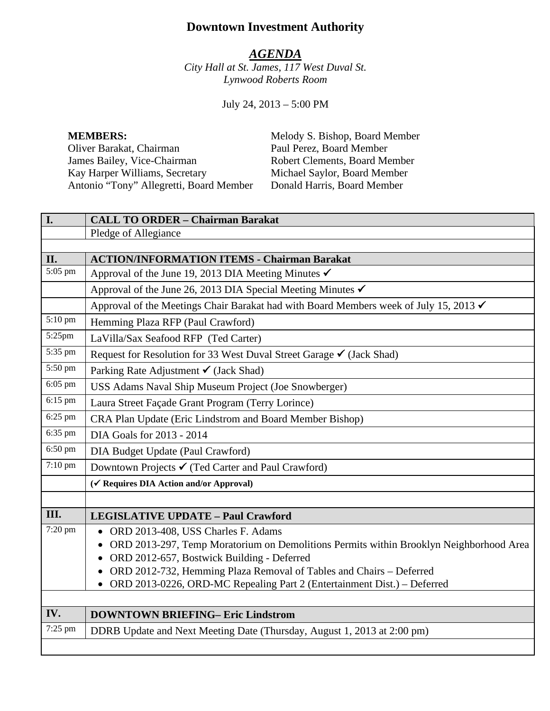# **Downtown Investment Authority**

#### *AGENDA*

*City Hall at St. James, 117 West Duval St. Lynwood Roberts Room*

July 24, 2013 – 5:00 PM

Oliver Barakat, Chairman Paul Perez, Board Member<br>
James Bailey, Vice-Chairman Robert Clements, Board Member James Bailey, Vice-Chairman Robert Clements, Board Member<br>
Kay Harper Williams, Secretary Michael Saylor, Board Member Kay Harper Williams, Secretary Michael Saylor, Board Member<br>Antonio "Tony" Allegretti, Board Member Donald Harris, Board Member Antonio "Tony" Allegretti, Board Member

**MEMBERS:** Melody S. Bishop, Board Member

| I.                   | <b>CALL TO ORDER - Chairman Barakat</b>                                                |
|----------------------|----------------------------------------------------------------------------------------|
|                      | Pledge of Allegiance                                                                   |
|                      |                                                                                        |
| II.                  | <b>ACTION/INFORMATION ITEMS - Chairman Barakat</b>                                     |
| $\overline{5:}05$ pm | Approval of the June 19, 2013 DIA Meeting Minutes √                                    |
|                      | Approval of the June 26, 2013 DIA Special Meeting Minutes √                            |
|                      | Approval of the Meetings Chair Barakat had with Board Members week of July 15, 2013 ✔  |
| 5:10 pm              | Hemming Plaza RFP (Paul Crawford)                                                      |
| 5:25pm               | LaVilla/Sax Seafood RFP (Ted Carter)                                                   |
| 5:35 pm              | Request for Resolution for 33 West Duval Street Garage V (Jack Shad)                   |
| 5:50 pm              | Parking Rate Adjustment $\checkmark$ (Jack Shad)                                       |
| 6:05 pm              | USS Adams Naval Ship Museum Project (Joe Snowberger)                                   |
| $6:15$ pm            | Laura Street Façade Grant Program (Terry Lorince)                                      |
| 6:25 pm              | CRA Plan Update (Eric Lindstrom and Board Member Bishop)                               |
| 6:35 pm              | DIA Goals for 2013 - 2014                                                              |
| 6:50 pm              | DIA Budget Update (Paul Crawford)                                                      |
| 7:10 pm              | Downtown Projects ✔ (Ted Carter and Paul Crawford)                                     |
|                      | (√ Requires DIA Action and/or Approval)                                                |
|                      |                                                                                        |
| III.                 | <b>LEGISLATIVE UPDATE - Paul Crawford</b>                                              |
| 7:20 pm              | ORD 2013-408, USS Charles F. Adams                                                     |
|                      | ORD 2013-297, Temp Moratorium on Demolitions Permits within Brooklyn Neighborhood Area |
|                      | ORD 2012-657, Bostwick Building - Deferred                                             |
|                      | ORD 2012-732, Hemming Plaza Removal of Tables and Chairs - Deferred                    |
|                      | ORD 2013-0226, ORD-MC Repealing Part 2 (Entertainment Dist.) - Deferred<br>$\bullet$   |
|                      |                                                                                        |
| IV.                  | <b>DOWNTOWN BRIEFING- Eric Lindstrom</b>                                               |
| 7:25 pm              | DDRB Update and Next Meeting Date (Thursday, August 1, 2013 at 2:00 pm)                |
|                      |                                                                                        |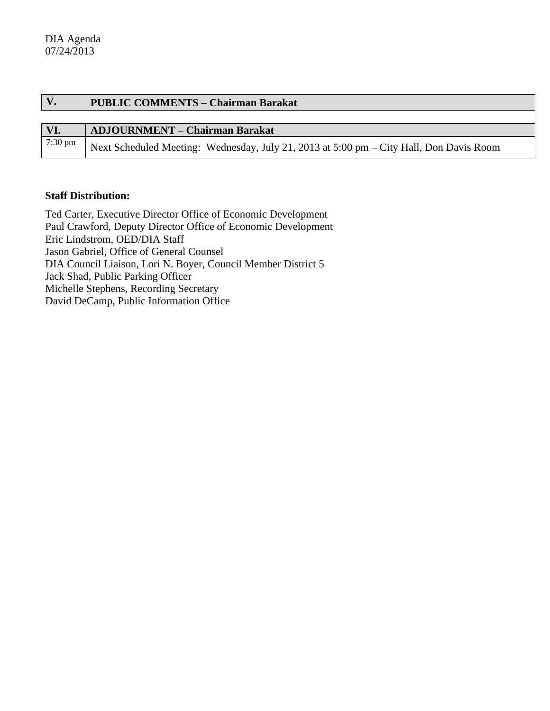| V.      | <b>PUBLIC COMMENTS - Chairman Barakat</b>                                               |
|---------|-----------------------------------------------------------------------------------------|
|         |                                                                                         |
| VI.     | <b>ADJOURNMENT – Chairman Barakat</b>                                                   |
| 7:30 pm | Next Scheduled Meeting: Wednesday, July 21, 2013 at 5:00 pm – City Hall, Don Davis Room |

#### **Staff Distribution:**

Ted Carter, Executive Director Office of Economic Development Paul Crawford, Deputy Director Office of Economic Development Eric Lindstrom, OED/DIA Staff Jason Gabriel, Office of General Counsel DIA Council Liaison, Lori N. Boyer, Council Member District 5 Jack Shad, Public Parking Officer Michelle Stephens, Recording Secretary David DeCamp, Public Information Office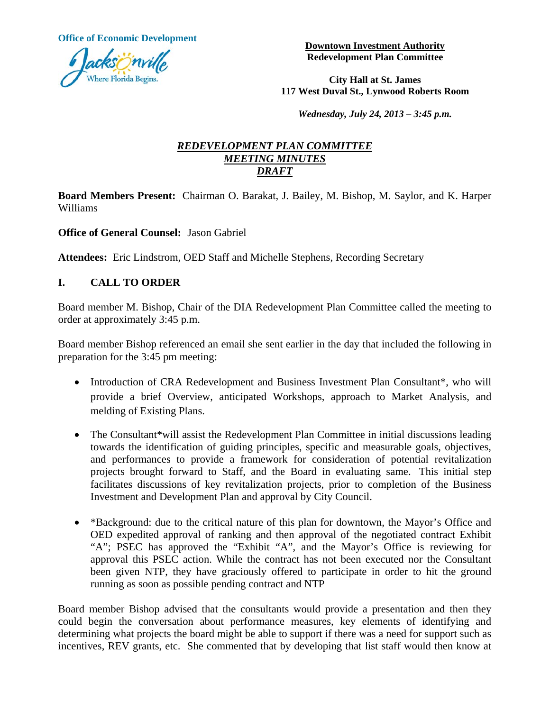**Office of Economic Development Development Downtown Investment Authority** 



**Redevelopment Plan Committee** 

**City Hall at St. James 117 West Duval St., Lynwood Roberts Room**

*Wednesday, July 24, 2013 – 3:45 p.m.* 

#### *REDEVELOPMENT PLAN COMMITTEE MEETING MINUTES DRAFT*

**Board Members Present:** Chairman O. Barakat, J. Bailey, M. Bishop, M. Saylor, and K. Harper Williams

**Office of General Counsel:** Jason Gabriel

**Attendees:** Eric Lindstrom, OED Staff and Michelle Stephens, Recording Secretary

### **I. CALL TO ORDER**

Board member M. Bishop, Chair of the DIA Redevelopment Plan Committee called the meeting to order at approximately 3:45 p.m.

Board member Bishop referenced an email she sent earlier in the day that included the following in preparation for the 3:45 pm meeting:

- Introduction of CRA Redevelopment and Business Investment Plan Consultant\*, who will provide a brief Overview, anticipated Workshops, approach to Market Analysis, and melding of Existing Plans.
- The Consultant\*will assist the Redevelopment Plan Committee in initial discussions leading towards the identification of guiding principles, specific and measurable goals, objectives, and performances to provide a framework for consideration of potential revitalization projects brought forward to Staff, and the Board in evaluating same. This initial step facilitates discussions of key revitalization projects, prior to completion of the Business Investment and Development Plan and approval by City Council.
- \*Background: due to the critical nature of this plan for downtown, the Mayor's Office and OED expedited approval of ranking and then approval of the negotiated contract Exhibit "A"; PSEC has approved the "Exhibit "A", and the Mayor's Office is reviewing for approval this PSEC action. While the contract has not been executed nor the Consultant been given NTP, they have graciously offered to participate in order to hit the ground running as soon as possible pending contract and NTP

Board member Bishop advised that the consultants would provide a presentation and then they could begin the conversation about performance measures, key elements of identifying and determining what projects the board might be able to support if there was a need for support such as incentives, REV grants, etc. She commented that by developing that list staff would then know at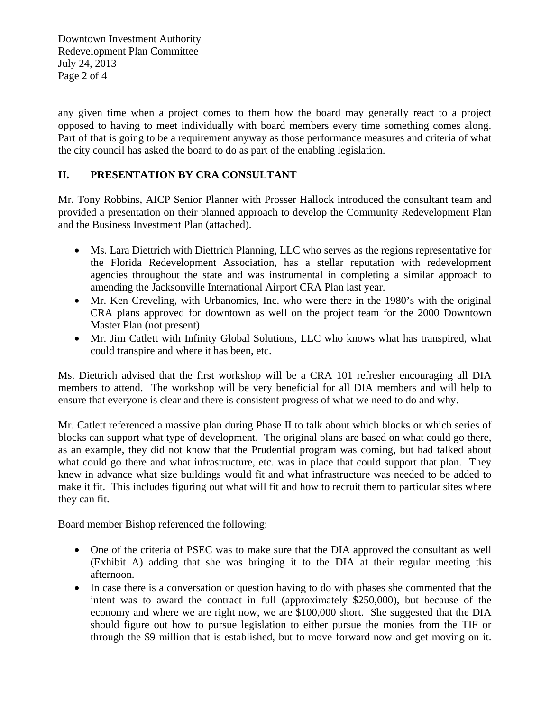Downtown Investment Authority Redevelopment Plan Committee July 24, 2013 Page 2 of 4

any given time when a project comes to them how the board may generally react to a project opposed to having to meet individually with board members every time something comes along. Part of that is going to be a requirement anyway as those performance measures and criteria of what the city council has asked the board to do as part of the enabling legislation.

### **II. PRESENTATION BY CRA CONSULTANT**

Mr. Tony Robbins, AICP Senior Planner with Prosser Hallock introduced the consultant team and provided a presentation on their planned approach to develop the Community Redevelopment Plan and the Business Investment Plan (attached).

- Ms. Lara Diettrich with Diettrich Planning, LLC who serves as the regions representative for the Florida Redevelopment Association, has a stellar reputation with redevelopment agencies throughout the state and was instrumental in completing a similar approach to amending the Jacksonville International Airport CRA Plan last year.
- Mr. Ken Creveling, with Urbanomics, Inc. who were there in the 1980's with the original CRA plans approved for downtown as well on the project team for the 2000 Downtown Master Plan (not present)
- Mr. Jim Catlett with Infinity Global Solutions, LLC who knows what has transpired, what could transpire and where it has been, etc.

Ms. Diettrich advised that the first workshop will be a CRA 101 refresher encouraging all DIA members to attend. The workshop will be very beneficial for all DIA members and will help to ensure that everyone is clear and there is consistent progress of what we need to do and why.

Mr. Catlett referenced a massive plan during Phase II to talk about which blocks or which series of blocks can support what type of development. The original plans are based on what could go there, as an example, they did not know that the Prudential program was coming, but had talked about what could go there and what infrastructure, etc. was in place that could support that plan. They knew in advance what size buildings would fit and what infrastructure was needed to be added to make it fit. This includes figuring out what will fit and how to recruit them to particular sites where they can fit.

Board member Bishop referenced the following:

- One of the criteria of PSEC was to make sure that the DIA approved the consultant as well (Exhibit A) adding that she was bringing it to the DIA at their regular meeting this afternoon.
- In case there is a conversation or question having to do with phases she commented that the intent was to award the contract in full (approximately \$250,000), but because of the economy and where we are right now, we are \$100,000 short. She suggested that the DIA should figure out how to pursue legislation to either pursue the monies from the TIF or through the \$9 million that is established, but to move forward now and get moving on it.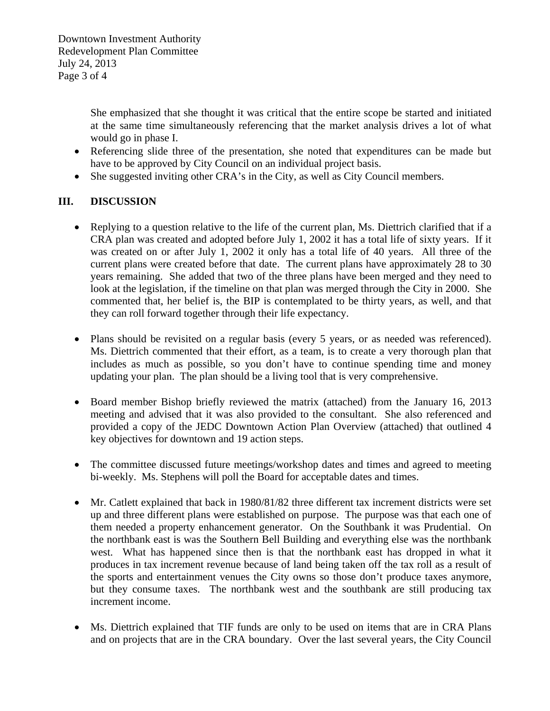She emphasized that she thought it was critical that the entire scope be started and initiated at the same time simultaneously referencing that the market analysis drives a lot of what would go in phase I.

- Referencing slide three of the presentation, she noted that expenditures can be made but have to be approved by City Council on an individual project basis.
- She suggested inviting other CRA's in the City, as well as City Council members.

## **III. DISCUSSION**

- Replying to a question relative to the life of the current plan, Ms. Diettrich clarified that if a CRA plan was created and adopted before July 1, 2002 it has a total life of sixty years. If it was created on or after July 1, 2002 it only has a total life of 40 years. All three of the current plans were created before that date. The current plans have approximately 28 to 30 years remaining. She added that two of the three plans have been merged and they need to look at the legislation, if the timeline on that plan was merged through the City in 2000. She commented that, her belief is, the BIP is contemplated to be thirty years, as well, and that they can roll forward together through their life expectancy.
- Plans should be revisited on a regular basis (every 5 years, or as needed was referenced). Ms. Diettrich commented that their effort, as a team, is to create a very thorough plan that includes as much as possible, so you don't have to continue spending time and money updating your plan. The plan should be a living tool that is very comprehensive.
- Board member Bishop briefly reviewed the matrix (attached) from the January 16, 2013 meeting and advised that it was also provided to the consultant. She also referenced and provided a copy of the JEDC Downtown Action Plan Overview (attached) that outlined 4 key objectives for downtown and 19 action steps.
- The committee discussed future meetings/workshop dates and times and agreed to meeting bi-weekly. Ms. Stephens will poll the Board for acceptable dates and times.
- Mr. Catlett explained that back in 1980/81/82 three different tax increment districts were set up and three different plans were established on purpose. The purpose was that each one of them needed a property enhancement generator. On the Southbank it was Prudential. On the northbank east is was the Southern Bell Building and everything else was the northbank west. What has happened since then is that the northbank east has dropped in what it produces in tax increment revenue because of land being taken off the tax roll as a result of the sports and entertainment venues the City owns so those don't produce taxes anymore, but they consume taxes. The northbank west and the southbank are still producing tax increment income.
- Ms. Diettrich explained that TIF funds are only to be used on items that are in CRA Plans and on projects that are in the CRA boundary. Over the last several years, the City Council